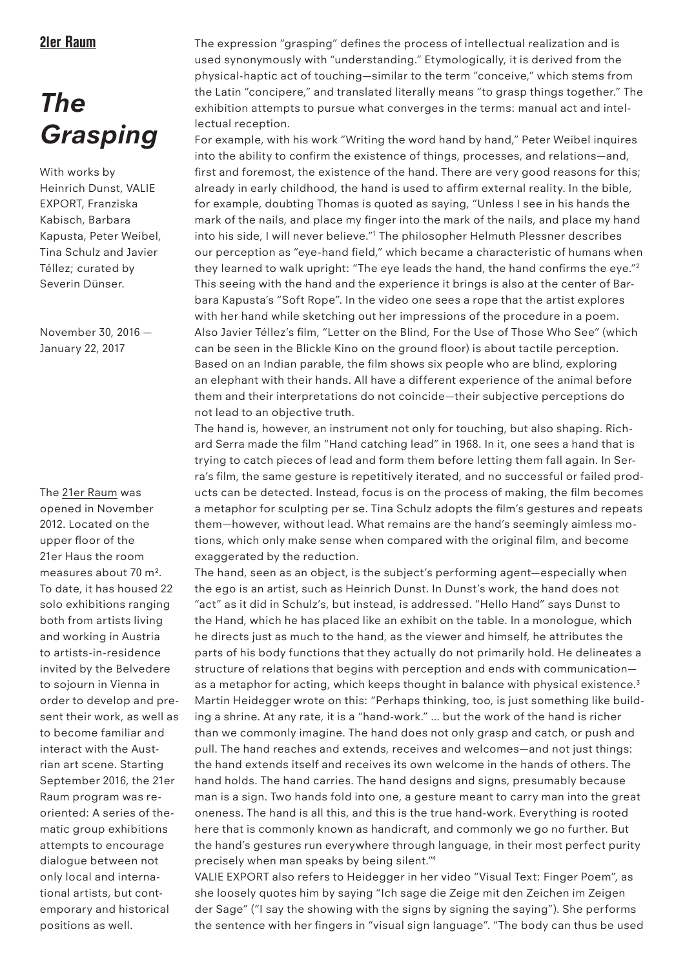## 21er Raum

# *The Grasping*

With works by Heinrich Dunst, VALIE EXPORT, Franziska Kabisch, Barbara Kapusta, Peter Weibel, Tina Schulz and Javier Téllez; curated by Severin Dünser.

November 30, 2016 — January 22, 2017

The 21er Raum was opened in November 2012. Located on the upper floor of the 21er Haus the room measures about 70 m². To date, it has housed 22 solo exhibitions ranging both from artists living and working in Austria to artists-in-residence invited by the Belvedere to sojourn in Vienna in order to develop and present their work, as well as to become familiar and interact with the Austrian art scene. Starting September 2016, the 21er Raum program was reoriented: A series of thematic group exhibitions attempts to encourage dialogue between not only local and international artists, but contemporary and historical positions as well.

The expression "grasping" defines the process of intellectual realization and is used synonymously with "understanding." Etymologically, it is derived from the physical-haptic act of touching—similar to the term "conceive," which stems from the Latin "concipere," and translated literally means "to grasp things together." The exhibition attempts to pursue what converges in the terms: manual act and intellectual reception.

For example, with his work "Writing the word hand by hand," Peter Weibel inquires into the ability to confirm the existence of things, processes, and relations—and, first and foremost, the existence of the hand. There are very good reasons for this; already in early childhood, the hand is used to affirm external reality. In the bible, for example, doubting Thomas is quoted as saying, "Unless I see in his hands the mark of the nails, and place my finger into the mark of the nails, and place my hand into his side, I will never believe."1 The philosopher Helmuth Plessner describes our perception as "eye-hand field," which became a characteristic of humans when they learned to walk upright: "The eye leads the hand, the hand confirms the eye."2 This seeing with the hand and the experience it brings is also at the center of Barbara Kapusta's "Soft Rope". In the video one sees a rope that the artist explores with her hand while sketching out her impressions of the procedure in a poem. Also Javier Téllez's film, "Letter on the Blind, For the Use of Those Who See" (which can be seen in the Blickle Kino on the ground floor) is about tactile perception. Based on an Indian parable, the film shows six people who are blind, exploring an elephant with their hands. All have a different experience of the animal before them and their interpretations do not coincide—their subjective perceptions do not lead to an objective truth.

The hand is, however, an instrument not only for touching, but also shaping. Richard Serra made the film "Hand catching lead" in 1968. In it, one sees a hand that is trying to catch pieces of lead and form them before letting them fall again. In Serra's film, the same gesture is repetitively iterated, and no successful or failed products can be detected. Instead, focus is on the process of making, the film becomes a metaphor for sculpting per se. Tina Schulz adopts the film's gestures and repeats them—however, without lead. What remains are the hand's seemingly aimless motions, which only make sense when compared with the original film, and become exaggerated by the reduction.

The hand, seen as an object, is the subject's performing agent—especially when the ego is an artist, such as Heinrich Dunst. In Dunst's work, the hand does not "act" as it did in Schulz's, but instead, is addressed. "Hello Hand" says Dunst to the Hand, which he has placed like an exhibit on the table. In a monologue, which he directs just as much to the hand, as the viewer and himself, he attributes the parts of his body functions that they actually do not primarily hold. He delineates a structure of relations that begins with perception and ends with communication as a metaphor for acting, which keeps thought in balance with physical existence.<sup>3</sup> Martin Heidegger wrote on this: "Perhaps thinking, too, is just something like building a shrine. At any rate, it is a "hand-work." … but the work of the hand is richer than we commonly imagine. The hand does not only grasp and catch, or push and pull. The hand reaches and extends, receives and welcomes—and not just things: the hand extends itself and receives its own welcome in the hands of others. The hand holds. The hand carries. The hand designs and signs, presumably because man is a sign. Two hands fold into one, a gesture meant to carry man into the great oneness. The hand is all this, and this is the true hand-work. Everything is rooted here that is commonly known as handicraft, and commonly we go no further. But the hand's gestures run everywhere through language, in their most perfect purity precisely when man speaks by being silent."4

VALIE EXPORT also refers to Heidegger in her video "Visual Text: Finger Poem", as she loosely quotes him by saying "Ich sage die Zeige mit den Zeichen im Zeigen der Sage" ("I say the showing with the signs by signing the saying"). She performs the sentence with her fingers in "visual sign language". "The body can thus be used